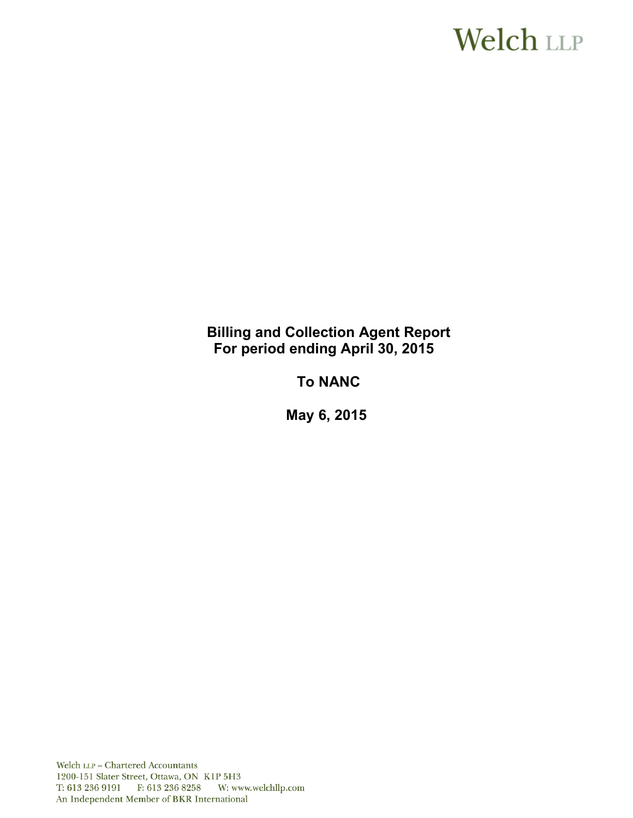# **Welch LLP**

# **Billing and Collection Agent Report For period ending April 30, 2015**

# **To NANC**

**May 6, 2015**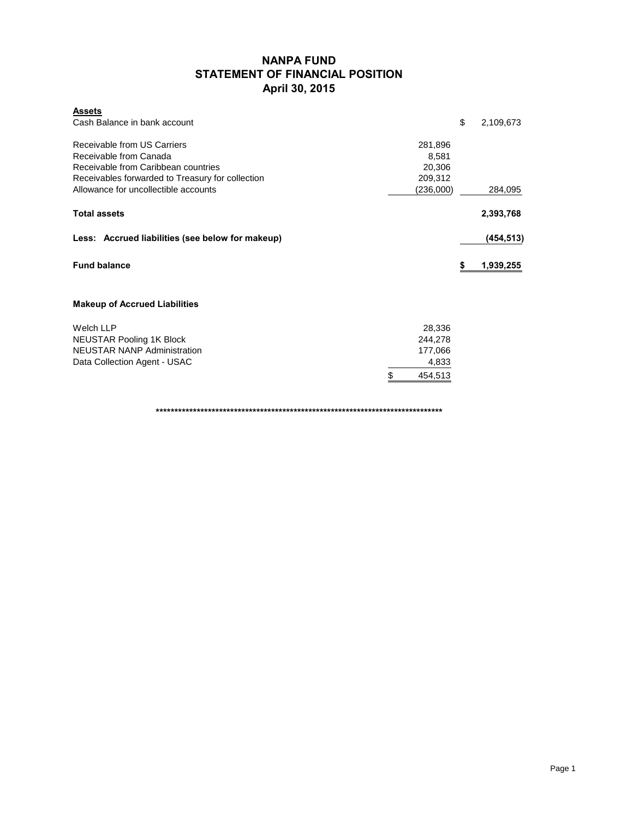# **NANPA FUND STATEMENT OF FINANCIAL POSITION April 30, 2015**

| <b>Assets</b><br>Cash Balance in bank account                 |                 | \$ | 2,109,673 |
|---------------------------------------------------------------|-----------------|----|-----------|
| Receivable from US Carriers                                   | 281,896         |    |           |
| Receivable from Canada<br>Receivable from Caribbean countries | 8,581<br>20,306 |    |           |
| Receivables forwarded to Treasury for collection              | 209,312         |    |           |
| Allowance for uncollectible accounts                          | (236,000)       |    | 284,095   |
| <b>Total assets</b>                                           |                 |    | 2,393,768 |
| Less: Accrued liabilities (see below for makeup)              |                 |    | (454,513) |
| <b>Fund balance</b>                                           |                 | S  | 1,939,255 |
| <b>Makeup of Accrued Liabilities</b>                          |                 |    |           |
| Welch LLP                                                     | 28,336          |    |           |
| <b>NEUSTAR Pooling 1K Block</b>                               | 244,278         |    |           |
| <b>NEUSTAR NANP Administration</b>                            | 177,066         |    |           |
| Data Collection Agent - USAC                                  | 4,833           |    |           |

**\*\*\*\*\*\*\*\*\*\*\*\*\*\*\*\*\*\*\*\*\*\*\*\*\*\*\*\*\*\*\*\*\*\*\*\*\*\*\*\*\*\*\*\*\*\*\*\*\*\*\*\*\*\*\*\*\*\*\*\*\*\*\*\*\*\*\*\*\*\*\*\*\*\*\*\*\***

\$ 454,513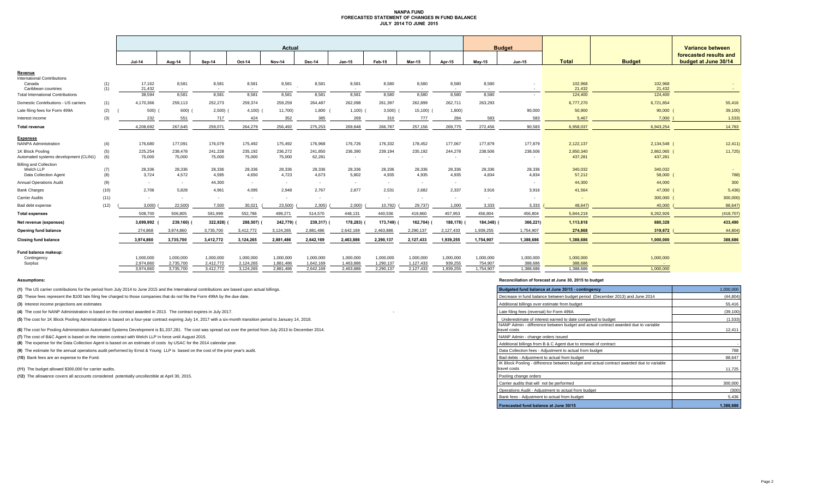### **NANPA FUND FORECASTED STATEMENT OF CHANGES IN FUND BALANCE JULY 2014 TO JUNE 2015**

|                                                                     |            |                        |                        |                        |                        | Actual                 |                        |                        |                        |                                     |                      |                      | <b>Budget</b>        |                      |                        | Variance between                               |
|---------------------------------------------------------------------|------------|------------------------|------------------------|------------------------|------------------------|------------------------|------------------------|------------------------|------------------------|-------------------------------------|----------------------|----------------------|----------------------|----------------------|------------------------|------------------------------------------------|
|                                                                     |            | $Jul-14$               | Aug-14                 | Sep-14                 | Oct-14                 | <b>Nov-14</b>          | Dec-14                 | $Jan-15$               | Feb-15                 | <b>Mar-15</b>                       | Apr-15               | <b>Mav-15</b>        | <b>Jun-15</b>        | <b>Total</b>         | <b>Budget</b>          | forecasted results and<br>budget at June 30/14 |
| Revenue                                                             |            |                        |                        |                        |                        |                        |                        |                        |                        |                                     |                      |                      |                      |                      |                        |                                                |
| <b>International Contributions</b><br>Canada<br>Caribbean countries | (1)<br>(1) | 17,162<br>21,432       | 8,581<br>$\sim$        | 8,581<br>$\sim$        | 8,581<br>$\sim$        | 8,581<br>$\sim$        | 8,581                  | 8,581<br>$\sim$        | 8,580<br>$\sim$        | 8,580<br>$\sim$                     | 8,580<br>$\sim$      | 8,580<br>$\sim$      | $\sim$               | 102,968<br>21.432    | 102,968<br>21,432      | <b>Section</b>                                 |
| <b>Total International Contributions</b>                            |            | 38.594                 | 8.581                  | 8,581                  | 8.581                  | 8,581                  | 8.581                  | 8,581                  | 8,580                  | 8.580                               | 8.580                | 8.580                | $\sim$               | 124,400              | 124,400                |                                                |
| Domestic Contributions - US carriers                                | (1)        | 4,170,366              | 259,113                | 252,273                | 259,374                | 259,259                | 264,487                | 262,098                | 261,397                | 262,899                             | 262.711              | 263,293              |                      | 6,777,270            | 6,721,854              | 55,416                                         |
| Late filing fees for Form 499A                                      | (2)        | 500)                   | 600)                   | $2,500$ )              | $4,100$ )              | 11,700)                | 1,800                  | 1,100                  | 3,500                  | $15,100$ (                          | 1,800)               |                      | 90,000               | 50,900               | 90,000                 | 39,100)                                        |
| Interest income                                                     | (3)        | 232                    | 551                    | 717                    | 424                    | 352                    | 385                    | 269                    | 310                    | 777                                 | 284                  | 583                  | 583                  | 5,467                | 7,000                  | 1,533                                          |
| <b>Total revenue</b>                                                |            | 4,208,692              | 267,645                | 259,071                | 264,279                | 256,492                | 275,253                | 269,848                | 266,787                | 257,156                             | 269,775              | 272,456              | 90,583               | 6,958,037            | 6,943,254              | 14,783                                         |
| <b>Expenses</b>                                                     |            |                        |                        |                        |                        |                        |                        |                        |                        |                                     |                      |                      |                      |                      |                        |                                                |
| <b>NANPA Administration</b>                                         | (4)        | 176,680                | 177,091                | 176,079                | 175,492                | 175,492                | 176,968                | 176,726                | 176,332                | 178,452                             | 177,067              | 177,879              | 177,879              | 2,122,137            | 2,134,548 (            | 12,411)                                        |
| 1K Block Pooling<br>Automated systems development (CLIN1)           | (5)<br>(6) | 225,254<br>75,000      | 238,478<br>75,000      | 241,228<br>75,000      | 235,192<br>75,000      | 236,272<br>75,000      | 241,850<br>62.281      | 236,390<br>$\sim$      | 239,194<br>$\sim$      | 235,192<br>$\overline{\phantom{a}}$ | 244,278<br>$\sim$    | 238,506<br>$\sim$    | 238,506              | 2,850,340<br>437,281 | 2,862,065 (<br>437,281 | 11,725                                         |
| <b>Billing and Collection</b><br>Welch LLP<br>Data Collection Agent | (7)<br>(8) | 28,336<br>3,724        | 28,336<br>4,572        | 28,336<br>4,595        | 28,336<br>4,650        | 28,336<br>4,723        | 28,336<br>4,673        | 28,336<br>5,802        | 28,336<br>4,935        | 28,336<br>4,935                     | 28,336<br>4,935      | 28,336<br>4,834      | 28,336<br>4,834      | 340,032<br>57,212    | 340,032<br>58,000      | 788)                                           |
| <b>Annual Operations Audit</b>                                      | (9)        | $\sim$                 | $\sim$                 | 44,300                 | $\sim$ $-$             | $\sim$                 | $\sim$                 | $\sim$                 | $\sim$                 | $\sim$                              | $\sim$               |                      | $\sim$               | 44,300               | 44,000                 | 300                                            |
| <b>Bank Charges</b>                                                 | (10)       | 2,706                  | 5,828                  | 4,961                  | 4,095                  | 2,948                  | 2,767                  | 2,877                  | 2,531                  | 2,682                               | 2,337                | 3,916                | 3,916                | 41,564               | 47,000                 | 5,436                                          |
| <b>Carrier Audits</b>                                               | (11)       | $\sim$                 |                        | $\sim$                 | $\sim$                 | $\sim$                 | $\sim$                 |                        | $\sim$                 | $\overline{\phantom{a}}$            | $\sim$               | $\sim$               | $\sim$               |                      | 300,000                | 300,000                                        |
| Bad debt expense                                                    | (12)       | 3,000                  | 22,500)                | 7,500                  | 30,021                 | 23,500)                | 2,305                  | 2,000                  | 10,792)                | 29,737)                             | 1,000                | 3,333                | 3,333                | 48,647)              | 40,000                 | 88,647                                         |
| <b>Total expenses</b>                                               |            | 508,700                | 506.805                | 581.999                | 552.786                | 499.271                | 514,570                | 448.131                | 440.536                | 419.860                             | 457.953              | 456,804              | 456.804              | 5.844.219            | 6.262.926              | (418, 707)                                     |
| Net revenue (expenses)                                              |            | 3,699,992              | 239,160)               | 322,928)               | 288,507)               | 242,779)               | 239,317) (             | 178,283)               | 173,749)               | 162,704) (                          | 188,178)             | 184,348) (           | 366,221)             | 1,113,818            | 680,328                | 433,490                                        |
| Opening fund balance                                                |            | 274.868                | 3,974,860              | 3,735,700              | 3,412,772              | 3,124,265              | 2,881,486              | 2,642,169              | 2,463,886              | 2,290,137                           | 2,127,433            | 1,939,255            | 1,754,907            | 274.868              | 319,672                | 44,804                                         |
| <b>Closing fund balance</b>                                         |            | 3.974.860              | 3,735,700              | 3,412,772              | 3.124.265              | 2.881.486              | 2,642,169              | 2.463.886              | 2.290.137              | 2,127,433                           | 1.939.255            | 1,754,907            | 1.388.686            | 1,388,686            | 1,000,000              | 388,686                                        |
| Fund balance makeup:                                                |            |                        |                        |                        |                        |                        |                        |                        |                        |                                     |                      |                      |                      |                      |                        |                                                |
| Contingency<br>Surplus                                              |            | 1,000,000<br>2,974,860 | 1,000,000<br>2,735,700 | 1,000,000<br>2,412,772 | 1,000,000<br>2,124,265 | 1,000,000<br>1,881,486 | 1,000,000<br>1,642,169 | 1,000,000<br>1,463,886 | 1,000,000<br>1,290,137 | 1,000,000<br>1,127,433              | 1,000,000<br>939,255 | 1,000,000<br>754,907 | 1,000,000<br>388,686 | 1,000,000<br>388,686 | 1,000,000              |                                                |
|                                                                     |            | 3.974.860              | 3.735.700              | 3,412,772              | 3.124.265              | 2.881.486              | 2.642.169              | 2.463.886              | 2.290.137              | 2,127,433                           | 1.939.255            | 1.754.907            | 1.388.686            | 1.388.686            | 1.000.000              |                                                |

**(1)** The US carrier contributions for the period from July 2014 to June 2015 and the International contributions are based upon actual billings.

(2) These fees represent the \$100 late filing fee charged to those companies that do not file the Form 499A by the due date.

**(3)** Interest income projections are estimates

**(4)** The cost for NANP Administration is based on the contract awarded in 2013. The contract expires in July 2017.

(5) The cost for 1K Block Pooling Administration is based on a four-year contract expiring July 14, 2017 with a six-month transition period to January 14, 2018.

**(6)** The cost for Pooling Administration Automated Systems Development is \$1,337,281. The cost was spread out over the period from July 2013 to December 2014.

**(7)** The cost of B&C Agent is based on the interim contract with Welch LLP in force until August 2015.

**(8)** The expense for the Data Collection Agent is based on an estimate of costs by USAC for the 2014 calendar year.

(9) The estimate for the annual operations audit performed by Ernst & Young LLP is based on the cost of the prior year's audit.

**(10)** Bank fees are an expense to the Fund.

**(11)** The budget allowed \$300,000 for carrier audits.

(12) The allowance covers all accounts considered potentially uncollectible at April 30, 2015.

#### **Assumptions: Reconciliation of forecast at June 30, 2015 to budget**

| Budgeted fund balance at June 30/15 - contingency                                                        | 1,000,000 |
|----------------------------------------------------------------------------------------------------------|-----------|
| Decrease in fund balance between budget period (December 2013) and June 2014                             | (44, 804) |
| Additional billings over estimate from budget                                                            | 55,416    |
| Late filing fees (reversal) for Form 499A                                                                | (39, 100) |
| Underestimate of interest earned to date compared to budget                                              | (1,533)   |
| NANP Admin - difference between budget and actual contract awarded due to variable<br>travel costs       | 12,411    |
| NANP Admin - change orders issued                                                                        |           |
| Additional billings from B & C Agent due to renewal of contract                                          |           |
| Data Collection fees - Adjustment to actual from budget                                                  | 788       |
| Bad debts - Adiustment to actual from budget                                                             | 88.647    |
| IK Block Pooling - difference between budget and actual contract awarded due to variable<br>travel costs | 11,725    |
| Pooling change orders                                                                                    |           |
| Carrier audits that will not be performed                                                                | 300,000   |
| Operations Audit - Adjustment to actual from budget                                                      | (300)     |
| Bank fees - Adjustment to actual from budget                                                             | 5,436     |
| Forecasted fund balance at June 30/15                                                                    | 1,388,686 |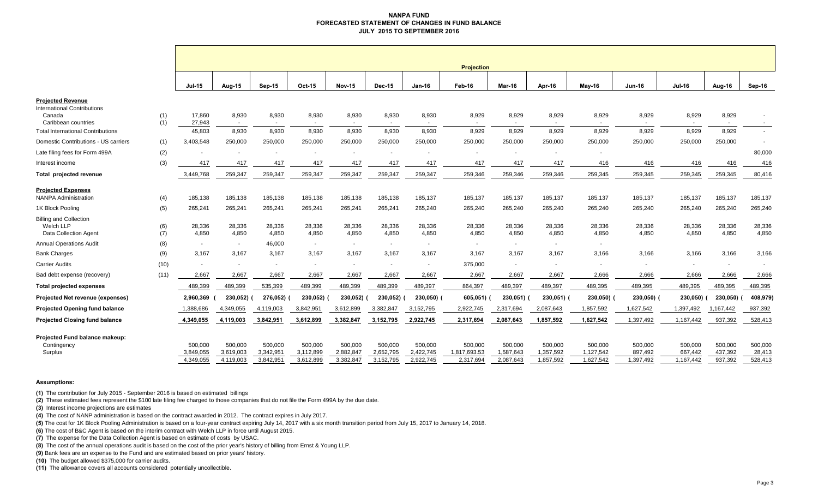### **NANPA FUND FORECASTED STATEMENT OF CHANGES IN FUND BALANCE JULY 2015 TO SEPTEMBER 2016**

|                                                          |            | <b>Projection</b>      |                          |                          |                          |                          |                         |                        |                           |                          |                          |                          |                      |                          |                          |                   |
|----------------------------------------------------------|------------|------------------------|--------------------------|--------------------------|--------------------------|--------------------------|-------------------------|------------------------|---------------------------|--------------------------|--------------------------|--------------------------|----------------------|--------------------------|--------------------------|-------------------|
|                                                          |            | <b>Jul-15</b>          | Aug-15                   | <b>Sep-15</b>            | <b>Oct-15</b>            | <b>Nov-15</b>            | <b>Dec-15</b>           | $Jan-16$               | Feb-16                    | <b>Mar-16</b>            | Apr-16                   | May-16                   | <b>Jun-16</b>        | <b>Jul-16</b>            | Aug-16                   | Sep-16            |
| <b>Projected Revenue</b>                                 |            |                        |                          |                          |                          |                          |                         |                        |                           |                          |                          |                          |                      |                          |                          |                   |
| <b>International Contributions</b>                       |            |                        |                          |                          |                          |                          |                         |                        |                           |                          |                          |                          |                      |                          |                          |                   |
| Canada<br>Caribbean countries                            | (1)<br>(1) | 17,860<br>27,943       | 8,930<br>$\sim$          | 8,930<br>$\sim$          | 8,930<br>$\sim$          | 8,930<br>$\sim$          | 8,930<br>$\overline{a}$ | 8,930                  | 8,929                     | 8,929                    | 8,929                    | 8,929<br>$\sim$          | 8,929                | 8,929                    | 8,929<br>$\sim$          |                   |
| <b>Total International Contributions</b>                 |            | 45,803                 | 8,930                    | 8,930                    | 8,930                    | 8,930                    | 8,930                   | 8,930                  | 8,929                     | 8,929                    | 8,929                    | 8,929                    | 8,929                | 8,929                    | 8,929                    |                   |
| Domestic Contributions - US carriers                     | (1)        | 3,403,548              | 250,000                  | 250,000                  | 250,000                  | 250,000                  | 250,000                 | 250,000                | 250,000                   | 250,000                  | 250,000                  | 250,000                  | 250,000              | 250,000                  | 250,000                  |                   |
| Late filing fees for Form 499A                           | (2)        |                        |                          |                          |                          |                          |                         |                        |                           |                          |                          |                          |                      |                          |                          | 80,000            |
| Interest income                                          | (3)        | 417                    | 417                      | 417                      | 417                      | 417                      | 417                     | 417                    | 417                       | 417                      | 417                      | 416                      | 416                  | 416                      | 416                      | 416               |
| Total projected revenue                                  |            | 3,449,768              | 259,347                  | 259,347                  | 259,347                  | 259,347                  | 259,347                 | 259,347                | 259,346                   | 259,346                  | 259,346                  | 259,345                  | 259,345              | 259,345                  | 259,345                  | 80,416            |
| <b>Projected Expenses</b><br><b>NANPA Administration</b> | (4)        | 185,138                | 185,138                  | 185,138                  | 185,138                  | 185,138                  | 185,138                 | 185,137                | 185,137                   | 185,137                  | 185,137                  | 185,137                  | 185,137              | 185,137                  | 185,137                  | 185,137           |
| 1K Block Pooling                                         | (5)        | 265,241                | 265,241                  | 265,241                  | 265,241                  | 265,241                  | 265,241                 | 265,240                | 265,240                   | 265,240                  | 265,240                  | 265,240                  | 265,240              | 265,240                  | 265,240                  | 265,240           |
| <b>Billing and Collection</b>                            |            |                        |                          |                          |                          |                          |                         |                        |                           |                          |                          |                          |                      |                          |                          |                   |
| Welch LLP                                                | (6)        | 28,336                 | 28,336                   | 28,336                   | 28,336                   | 28,336                   | 28,336                  | 28,336                 | 28,336                    | 28,336                   | 28,336                   | 28,336                   | 28,336               | 28,336                   | 28,336                   | 28,336            |
| <b>Data Collection Agent</b>                             | (7)        | 4,850                  | 4,850                    | 4,850                    | 4,850                    | 4,850                    | 4,850                   | 4,850                  | 4,850                     | 4,850                    | 4,850                    | 4,850                    | 4,850                | 4,850                    | 4,850                    | 4,850             |
| <b>Annual Operations Audit</b>                           | (8)        | $\overline{a}$         | $\overline{\phantom{a}}$ | 46,000                   | $\sim$                   | $\sim$                   | $\sim$                  |                        | $\blacksquare$            | $\overline{\phantom{a}}$ | $\overline{\phantom{a}}$ | $\sim$                   |                      |                          |                          |                   |
| <b>Bank Charges</b>                                      | (9)        | 3,167                  | 3,167                    | 3,167                    | 3,167                    | 3,167                    | 3,167                   | 3,167                  | 3,167                     | 3,167                    | 3,167                    | 3,166                    | 3,166                | 3,166                    | 3,166                    | 3,166             |
| <b>Carrier Audits</b>                                    | (10)       | $\sim$                 | $\overline{\phantom{a}}$ | $\overline{\phantom{a}}$ | $\overline{\phantom{a}}$ | $\overline{\phantom{a}}$ | $\sim$                  |                        | 375,000                   | $\sim$                   | $\overline{\phantom{a}}$ | $\overline{\phantom{a}}$ |                      | $\overline{\phantom{a}}$ | $\overline{\phantom{a}}$ |                   |
| Bad debt expense (recovery)                              | (11)       | 2,667                  | 2,667                    | 2,667                    | 2,667                    | 2,667                    | 2,667                   | 2,667                  | 2,667                     | 2,667                    | 2,667                    | 2,666                    | 2,666                | 2,666                    | 2,666                    | 2,666             |
| <b>Total projected expenses</b>                          |            | 489,399                | 489,399                  | 535,399                  | 489,399                  | 489,399                  | 489,399                 | 489,397                | 864,397                   | 489,397                  | 489,397                  | 489,395                  | 489,395              | 489,395                  | 489,395                  | 489,395           |
| Projected Net revenue (expenses)                         |            | 2,960,369              | 230,052)                 | 276,052)                 | 230,052)                 | 230,052)                 | 230,052)                | 230,050)               | 605,051)                  | 230,051)                 | $230,051$ )              | 230,050)                 | 230,050)             | 230,050)                 | 230,050)                 | 408,979)          |
| <b>Projected Opening fund balance</b>                    |            | 1,388,686              | 4,349,055                | 4,119,003                | 3,842,951                | 3,612,899                | 3,382,847               | 3,152,795              | 2,922,745                 | 2,317,694                | 2,087,643                | 1,857,592                | 1,627,542            | 1,397,492                | 1,167,442                | 937,392           |
| <b>Projected Closing fund balance</b>                    |            | 4,349,055              | 4,119,003                | 3,842,951                | 3,612,899                | 3,382,847                | 3,152,795               | 2,922,745              | 2,317,694                 | 2,087,643                | 1,857,592                | 1,627,542                | 1,397,492            | 1,167,442                | 937,392                  | 528,413           |
| Projected Fund balance makeup:                           |            |                        |                          |                          |                          |                          |                         |                        |                           |                          |                          |                          |                      |                          |                          |                   |
| Contingency                                              |            | 500,000                | 500,000                  | 500,000                  | 500,000                  | 500,000                  | 500,000                 | 500,000                | 500,000                   | 500,000                  | 500,000                  | 500,000                  | 500,000              | 500,000                  | 500,000                  | 500,000           |
| Surplus                                                  |            | 3,849,055<br>4,349,055 | 3,619,003<br>4,119,003   | 3,342,951<br>3,842,951   | 3,112,899<br>3,612,899   | 2,882,847<br>3,382,847   | 2,652,795<br>3,152,795  | 2,422,745<br>2,922,745 | 1,817,693.53<br>2,317,694 | 1,587,643<br>2,087,643   | 1,357,592<br>1,857,592   | 1,127,542<br>1,627,542   | 897,492<br>1,397,492 | 667,442<br>1,167,442     | 437,392<br>937,392       | 28,413<br>528,413 |
|                                                          |            |                        |                          |                          |                          |                          |                         |                        |                           |                          |                          |                          |                      |                          |                          |                   |

#### **Assumptions:**

**(1)** The contribution for July 2015 - September 2016 is based on estimated billings

**(2)** These estimated fees represent the \$100 late filing fee charged to those companies that do not file the Form 499A by the due date.

**(3)** Interest income projections are estimates

**(4)** The cost of NANP administration is based on the contract awarded in 2012. The contract expires in July 2017.

**(5)** The cost for 1K Block Pooling Administration is based on a four-year contract expiring July 14, 2017 with a six month transition period from July 15, 2017 to January 14, 2018.

**(6)** The cost of B&C Agent is based on the interim contract with Welch LLP in force until August 2015.

**(7)** The expense for the Data Collection Agent is based on estimate of costs by USAC.

**(8)** The cost of the annual operations audit is based on the cost of the prior year's history of billing from Ernst & Young LLP.

**(9)** Bank fees are an expense to the Fund and are estimated based on prior years' history.

**(10)** The budget allowed \$375,000 for carrier audits.

**(11)** The allowance covers all accounts considered potentially uncollectible.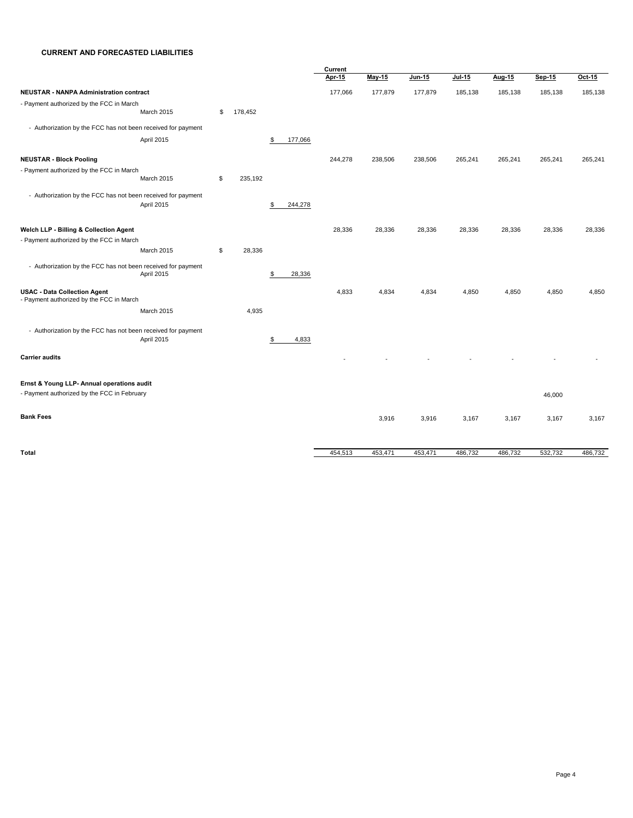## **CURRENT AND FORECASTED LIABILITIES**

|                                                              |               |               | Current |           |               |               |         |         |         |  |
|--------------------------------------------------------------|---------------|---------------|---------|-----------|---------------|---------------|---------|---------|---------|--|
|                                                              |               |               | Apr 15  | $M$ ay 15 | <u>Jun 15</u> | <b>Jul 15</b> | Aug 15  | Sep 15  | Oct 15  |  |
| NEUSTAR - NANPA Administration contract                      |               |               | 177,066 | 177,879   | 177,879       | 185,138       | 185,138 | 185,138 | 185,138 |  |
| - Payment authorized by the FCC in March                     |               |               |         |           |               |               |         |         |         |  |
| March 2015                                                   | \$<br>178,452 |               |         |           |               |               |         |         |         |  |
| - Authorization by the FCC has not been received for payment |               |               |         |           |               |               |         |         |         |  |
| April 2015                                                   |               | \$<br>177,066 |         |           |               |               |         |         |         |  |
| <b>NEUSTAR - Block Pooling</b>                               |               |               | 244,278 | 238,506   | 238,506       | 265,241       | 265,241 | 265,241 | 265,241 |  |
| - Payment authorized by the FCC in March                     |               |               |         |           |               |               |         |         |         |  |
| March 2015                                                   | \$<br>235,192 |               |         |           |               |               |         |         |         |  |
| - Authorization by the FCC has not been received for payment |               |               |         |           |               |               |         |         |         |  |
| April 2015                                                   |               | \$<br>244,278 |         |           |               |               |         |         |         |  |
|                                                              |               |               |         |           |               |               |         |         |         |  |
| Welch LLP - Billing & Collection Agent                       |               |               | 28,336  | 28,336    | 28,336        | 28,336        | 28,336  | 28,336  | 28,336  |  |
| - Payment authorized by the FCC in March                     |               |               |         |           |               |               |         |         |         |  |
| March 2015                                                   | \$<br>28,336  |               |         |           |               |               |         |         |         |  |
| - Authorization by the FCC has not been received for payment |               |               |         |           |               |               |         |         |         |  |
| April 2015                                                   |               | \$<br>28,336  |         |           |               |               |         |         |         |  |
| <b>USAC - Data Collection Agent</b>                          |               |               | 4,833   | 4,834     | 4,834         | 4,850         | 4,850   | 4,850   | 4,850   |  |
| - Payment authorized by the FCC in March                     |               |               |         |           |               |               |         |         |         |  |
| March 2015                                                   | 4,935         |               |         |           |               |               |         |         |         |  |
| - Authorization by the FCC has not been received for payment |               |               |         |           |               |               |         |         |         |  |
| April 2015                                                   |               | \$<br>4,833   |         |           |               |               |         |         |         |  |
| <b>Carrier audits</b>                                        |               |               |         |           |               |               |         |         |         |  |
|                                                              |               |               |         |           |               |               |         |         |         |  |
| Ernst & Young LLP- Annual operations audit                   |               |               |         |           |               |               |         |         |         |  |
| - Payment authorized by the FCC in February                  |               |               |         |           |               |               |         | 46,000  |         |  |
|                                                              |               |               |         |           |               |               |         |         |         |  |
| <b>Bank Fees</b>                                             |               |               |         | 3,916     | 3,916         | 3,167         | 3,167   | 3,167   | 3,167   |  |
|                                                              |               |               |         |           |               |               |         |         |         |  |
|                                                              |               |               |         |           |               |               |         |         |         |  |
| <b>Total</b>                                                 |               |               | 454,513 | 453,471   | 453,471       | 486,732       | 486,732 | 532,732 | 486,732 |  |